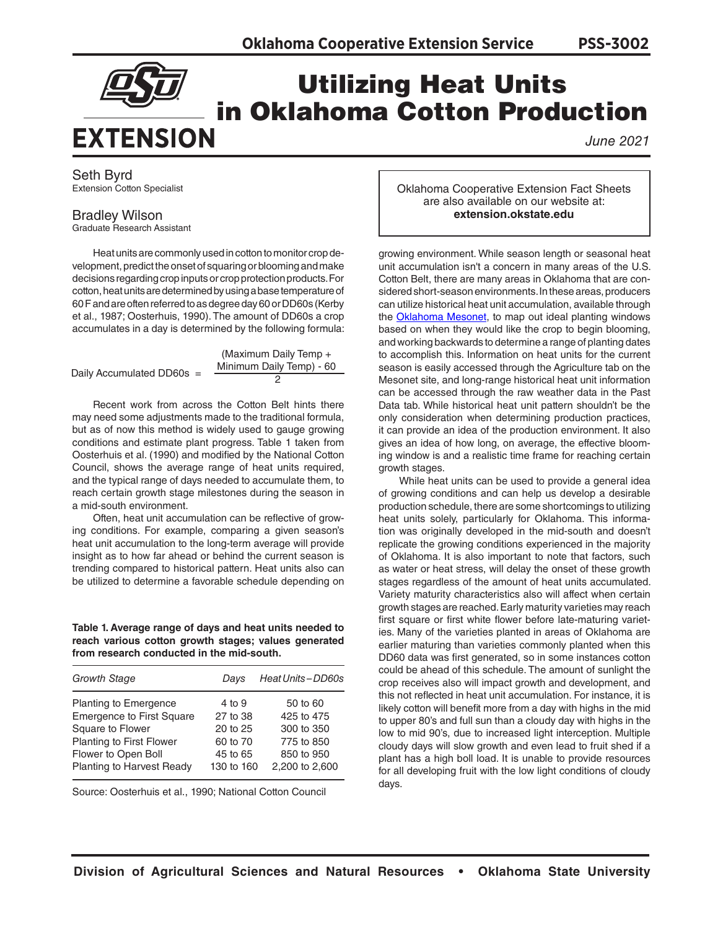**PSS-3002**



## Utilizing Heat Units in Oklahoma Cotton Production

*June 2021*

Seth Byrd Extension Cotton Specialist

## Bradley Wilson

Graduate Research Assistant

Heat units are commonly used in cotton to monitor crop development, predict the onset of squaring or blooming and make decisions regarding crop inputs or crop protection products. For cotton, heat units are determined by using a base temperature of 60 F and are often referred to as degree day 60 or DD60s (Kerby et al., 1987; Oosterhuis, 1990). The amount of DD60s a crop accumulates in a day is determined by the following formula:

|                           | (Maximum Daily Temp +    |
|---------------------------|--------------------------|
| Daily Accumulated DD60s = | Minimum Daily Temp) - 60 |
|                           |                          |

Recent work from across the Cotton Belt hints there may need some adjustments made to the traditional formula, but as of now this method is widely used to gauge growing conditions and estimate plant progress. Table 1 taken from Oosterhuis et al. (1990) and modified by the National Cotton Council, shows the average range of heat units required, and the typical range of days needed to accumulate them, to reach certain growth stage milestones during the season in a mid-south environment.

Often, heat unit accumulation can be reflective of growing conditions. For example, comparing a given season's heat unit accumulation to the long-term average will provide insight as to how far ahead or behind the current season is trending compared to historical pattern. Heat units also can be utilized to determine a favorable schedule depending on

**Table 1. Average range of days and heat units needed to reach various cotton growth stages; values generated from research conducted in the mid-south.**

| <b>Growth Stage</b>              | Davs       | Heat Units-DD60s |
|----------------------------------|------------|------------------|
| Planting to Emergence            | 4 to 9     | 50 to 60         |
| <b>Emergence to First Square</b> | 27 to 38   | 425 to 475       |
| Square to Flower                 | 20 to 25   | 300 to 350       |
| Planting to First Flower         | 60 to 70   | 775 to 850       |
| Flower to Open Boll              | 45 to 65   | 850 to 950       |
| Planting to Harvest Ready        | 130 to 160 | 2,200 to 2,600   |

Source: Oosterhuis et al., 1990; National Cotton Council

Oklahoma Cooperative Extension Fact Sheets are also available on our website at: **extension.okstate.edu**

growing environment. While season length or seasonal heat unit accumulation isn't a concern in many areas of the U.S. Cotton Belt, there are many areas in Oklahoma that are considered short-season environments. In these areas, producers can utilize historical heat unit accumulation, available through the **[Oklahoma Mesonet](http://www.mesonet.org/index.php)**, to map out ideal planting windows based on when they would like the crop to begin blooming, and working backwards to determine a range of planting dates to accomplish this. Information on heat units for the current season is easily accessed through the Agriculture tab on the Mesonet site, and long-range historical heat unit information can be accessed through the raw weather data in the Past Data tab. While historical heat unit pattern shouldn't be the only consideration when determining production practices, it can provide an idea of the production environment. It also gives an idea of how long, on average, the effective blooming window is and a realistic time frame for reaching certain growth stages.

While heat units can be used to provide a general idea of growing conditions and can help us develop a desirable production schedule, there are some shortcomings to utilizing heat units solely, particularly for Oklahoma. This information was originally developed in the mid-south and doesn't replicate the growing conditions experienced in the majority of Oklahoma. It is also important to note that factors, such as water or heat stress, will delay the onset of these growth stages regardless of the amount of heat units accumulated. Variety maturity characteristics also will affect when certain growth stages are reached. Early maturity varieties may reach first square or first white flower before late-maturing varieties. Many of the varieties planted in areas of Oklahoma are earlier maturing than varieties commonly planted when this DD60 data was first generated, so in some instances cotton could be ahead of this schedule. The amount of sunlight the crop receives also will impact growth and development, and this not reflected in heat unit accumulation. For instance, it is likely cotton will benefit more from a day with highs in the mid to upper 80's and full sun than a cloudy day with highs in the low to mid 90's, due to increased light interception. Multiple cloudy days will slow growth and even lead to fruit shed if a plant has a high boll load. It is unable to provide resources for all developing fruit with the low light conditions of cloudy days.